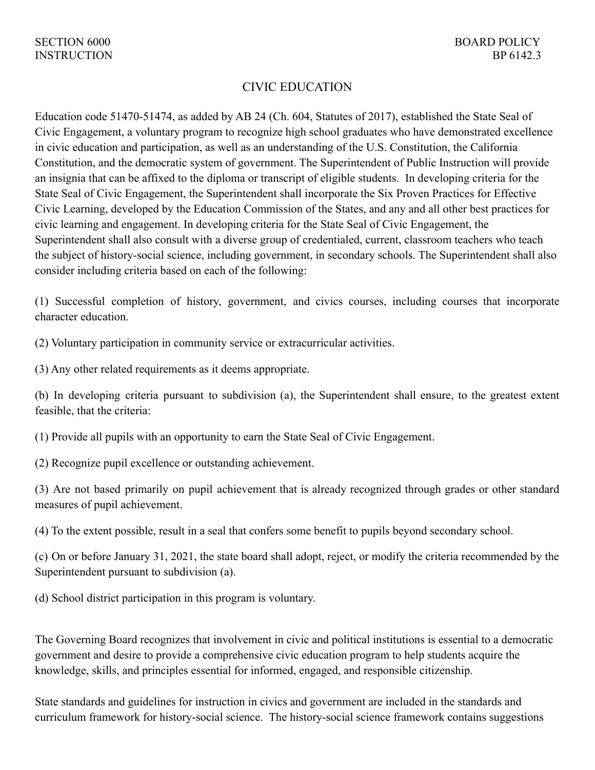## CIVIC EDUCATION

Education code 51470-51474, as added by AB 24 (Ch. 604, Statutes of 2017), established the State Seal of Civic Engagement, a voluntary program to recognize high school graduates who have demonstrated excellence in civic education and participation, as well as an understanding of the U.S. Constitution, the California Constitution, and the democratic system of government. The Superintendent of Public Instruction will provide an insignia that can be affixed to the diploma or transcript of eligible students. In developing criteria for the State Seal of Civic Engagement, the Superintendent shall incorporate the Six Proven Practices for Effective Civic Learning, developed by the Education Commission of the States, and any and all other best practices for civic learning and engagement. In developing criteria for the State Seal of Civic Engagement, the Superintendent shall also consult with a diverse group of credentialed, current, classroom teachers who teach the subject of history-social science, including government, in secondary schools. The Superintendent shall also consider including criteria based on each of the following:

(1) Successful completion of history, government, and civics courses, including courses that incorporate character education.

(2) Voluntary participation in community service or extracurricular activities.

(3) Any other related requirements as it deems appropriate.

(b) In developing criteria pursuant to subdivision (a), the Superintendent shall ensure, to the greatest extent feasible, that the criteria:

(1) Provide all pupils with an opportunity to earn the State Seal of Civic Engagement.

(2) Recognize pupil excellence or outstanding achievement.

(3) Are not based primarily on pupil achievement that is already recognized through grades or other standard measures of pupil achievement.

(4) To the extent possible, result in a seal that confers some benefit to pupils beyond secondary school.

(c) On or before January 31, 2021, the state board shall adopt, reject, or modify the criteria recommended by the Superintendent pursuant to subdivision (a).

(d) School district participation in this program is voluntary.

The Governing Board recognizes that involvement in civic and political institutions is essential to a democratic government and desire to provide a comprehensive civic education program to help students acquire the knowledge, skills, and principles essential for informed, engaged, and responsible citizenship.

State standards and guidelines for instruction in civics and government are included in the standards and curriculum framework for history-social science. The history-social science framework contains suggestions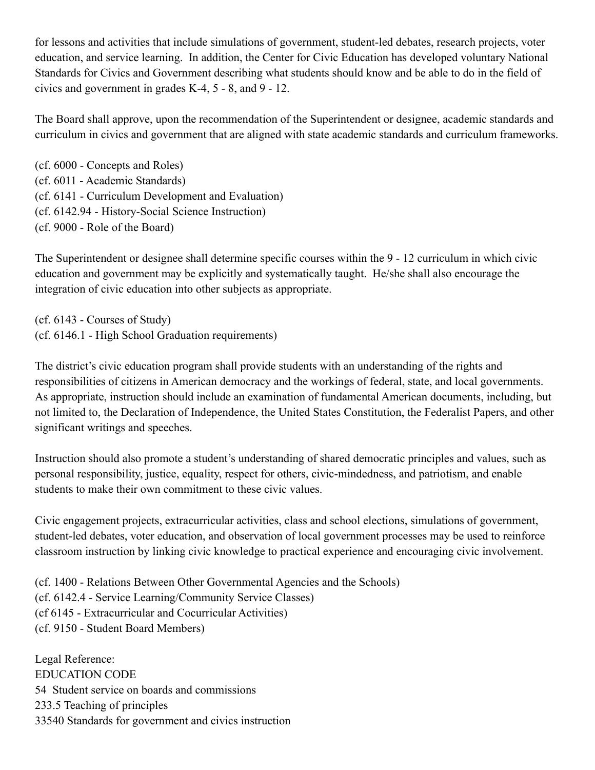for lessons and activities that include simulations of government, student-led debates, research projects, voter education, and service learning. In addition, the Center for Civic Education has developed voluntary National Standards for Civics and Government describing what students should know and be able to do in the field of civics and government in grades K-4, 5 - 8, and 9 - 12.

The Board shall approve, upon the recommendation of the Superintendent or designee, academic standards and curriculum in civics and government that are aligned with state academic standards and curriculum frameworks.

(cf. 6000 - Concepts and Roles) (cf. 6011 - Academic Standards) (cf. 6141 - Curriculum Development and Evaluation) (cf. 6142.94 - History-Social Science Instruction) (cf. 9000 - Role of the Board)

The Superintendent or designee shall determine specific courses within the 9 - 12 curriculum in which civic education and government may be explicitly and systematically taught. He/she shall also encourage the integration of civic education into other subjects as appropriate.

(cf. 6143 - Courses of Study) (cf. 6146.1 - High School Graduation requirements)

The district's civic education program shall provide students with an understanding of the rights and responsibilities of citizens in American democracy and the workings of federal, state, and local governments. As appropriate, instruction should include an examination of fundamental American documents, including, but not limited to, the Declaration of Independence, the United States Constitution, the Federalist Papers, and other significant writings and speeches.

Instruction should also promote a student's understanding of shared democratic principles and values, such as personal responsibility, justice, equality, respect for others, civic-mindedness, and patriotism, and enable students to make their own commitment to these civic values.

Civic engagement projects, extracurricular activities, class and school elections, simulations of government, student-led debates, voter education, and observation of local government processes may be used to reinforce classroom instruction by linking civic knowledge to practical experience and encouraging civic involvement.

(cf. 1400 - Relations Between Other Governmental Agencies and the Schools) (cf. 6142.4 - Service Learning/Community Service Classes) (cf 6145 - Extracurricular and Cocurricular Activities) (cf. 9150 - Student Board Members)

Legal Reference: EDUCATION CODE 54 Student service on boards and commissions 233.5 Teaching of principles 33540 Standards for government and civics instruction